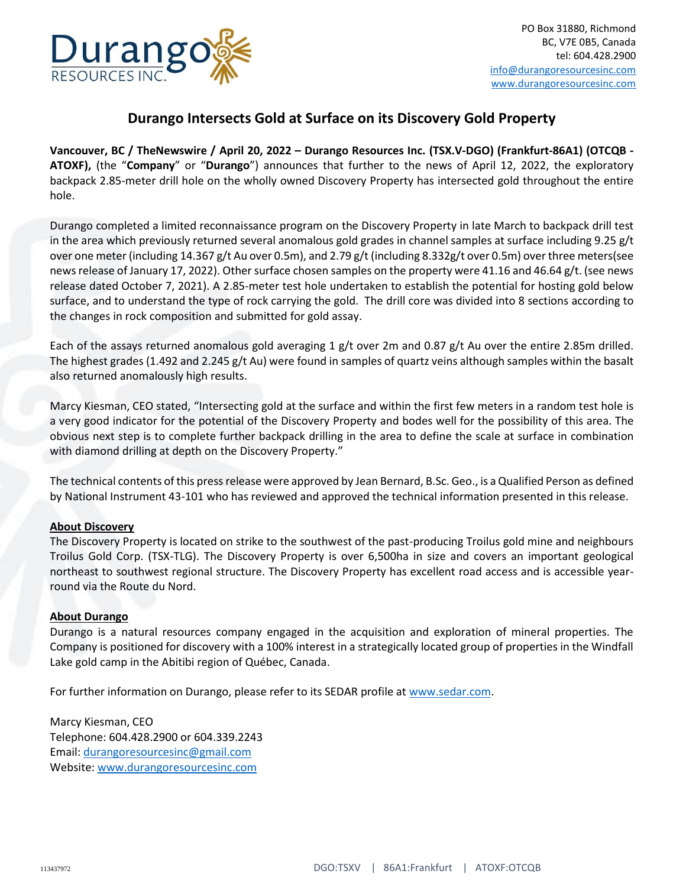

## **Durango Intersects Gold at Surface on its Discovery Gold Property**

**Vancouver, BC / TheNewswire / April 20, 2022 – Durango Resources Inc. (TSX.V-DGO) (Frankfurt-86A1) (OTCQB - ATOXF),** (the "**Company**" or "**Durango**") announces that further to the news of April 12, 2022, the exploratory backpack 2.85-meter drill hole on the wholly owned Discovery Property has intersected gold throughout the entire hole.

Durango completed a limited reconnaissance program on the Discovery Property in late March to backpack drill test in the area which previously returned several anomalous gold grades in channel samples at surface including 9.25 g/t over one meter (including 14.367 g/t Au over 0.5m), and 2.79 g/t (including 8.332g/t over 0.5m) over three meters(see news release of January 17, 2022). Other surface chosen samples on the property were 41.16 and 46.64 g/t. (see news release dated October 7, 2021). A 2.85-meter test hole undertaken to establish the potential for hosting gold below surface, and to understand the type of rock carrying the gold. The drill core was divided into 8 sections according to the changes in rock composition and submitted for gold assay.

Each of the assays returned anomalous gold averaging 1 g/t over 2m and 0.87 g/t Au over the entire 2.85m drilled. The highest grades (1.492 and 2.245 g/t Au) were found in samples of quartz veins although samples within the basalt also returned anomalously high results.

Marcy Kiesman, CEO stated, "Intersecting gold at the surface and within the first few meters in a random test hole is a very good indicator for the potential of the Discovery Property and bodes well for the possibility of this area. The obvious next step is to complete further backpack drilling in the area to define the scale at surface in combination with diamond drilling at depth on the Discovery Property."

The technical contents of this press release were approved by Jean Bernard, B.Sc. Geo., is a Qualified Person as defined by National Instrument 43-101 who has reviewed and approved the technical information presented in this release.

## **About Discovery**

The Discovery Property is located on strike to the southwest of the past-producing Troilus gold mine and neighbours Troilus Gold Corp. (TSX-TLG). The Discovery Property is over 6,500ha in size and covers an important geological northeast to southwest regional structure. The Discovery Property has excellent road access and is accessible yearround via the Route du Nord.

## **About Durango**

Durango is a natural resources company engaged in the acquisition and exploration of mineral properties. The Company is positioned for discovery with a 100% interest in a strategically located group of properties in the Windfall Lake gold camp in the Abitibi region of Québec, Canada.

For further information on Durango, please refer to its SEDAR profile at [www.sedar.com.](http://www.sedar.com/)

Marcy Kiesman, CEO Telephone: 604.428.2900 or 604.339.2243 Email[: durangoresourcesinc@gmail.com](mailto:durangoresourcesinc@gmail.com) Website: [www.durangoresourcesinc.com](http://www.durangoresourcesinc.com/)